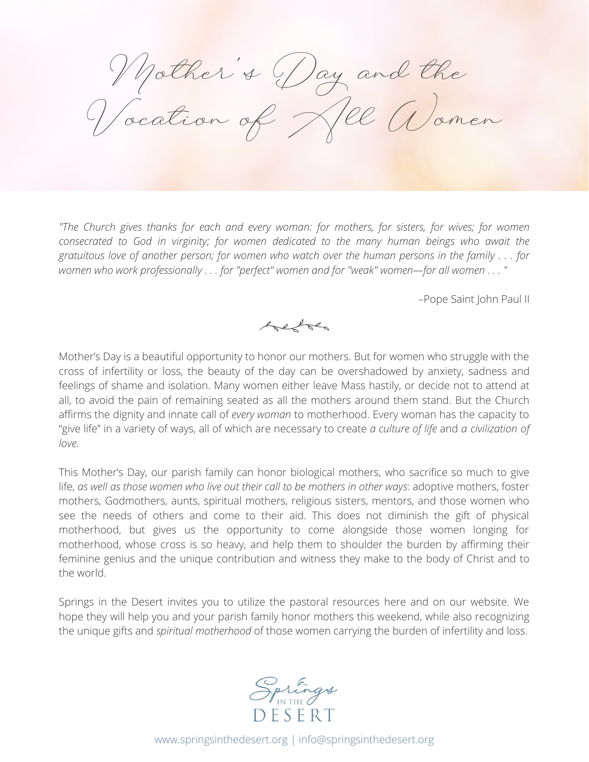Mother's Day and the Vocation of Nel Women

*"The Church gives thanks for each and every woman: for mothers, for sisters, for wives; for women consecrated to God in virginity; for women dedicated to the many human beings who await the* gratuitous love of another person; for women who watch over the human persons in the family . . . for women who work professionally . . . for "perfect" women and for "weak" women-for all women . . . "

–Pope Saint John Paul II

held

Mother's Day is a beautiful opportunity to honor our mothers. But for women who struggle with the cross of infertility or loss, the beauty of the day can be overshadowed by anxiety, sadness and feelings of shame and isolation. Many women either leave Mass hastily, or decide not to attend at all, to avoid the pain of remaining seated as all the mothers around them stand. But the Church affirms the dignity and innate call of *every woman* to motherhood. Every woman has the capacity to "give life" in a variety of ways, all of which are necessary to create *a culture of life* and *a civilization of love*.

This Mother's Day, our parish family can honor biological mothers, who sacrifice so much to give life, *as well as those women who live out their call to be mothers in other ways*: adoptive mothers, foster mothers, Godmothers, aunts, spiritual mothers, religious sisters, mentors, and those women who see the needs of others and come to their aid. This does not diminish the gift of physical motherhood, but gives us the opportunity to come alongside those women longing for motherhood, whose cross is so heavy, and help them to shoulder the burden by affirming their feminine genius and the unique contribution and witness they make to the body of Christ and to the world.

Springs in the Desert invites you to utilize the pastoral resources here and on our website. We hope they will help you and your parish family honor mothers this weekend, while also recognizing the unique gifts and *spiritual motherhood* of those women carrying the burden of infertility and loss.